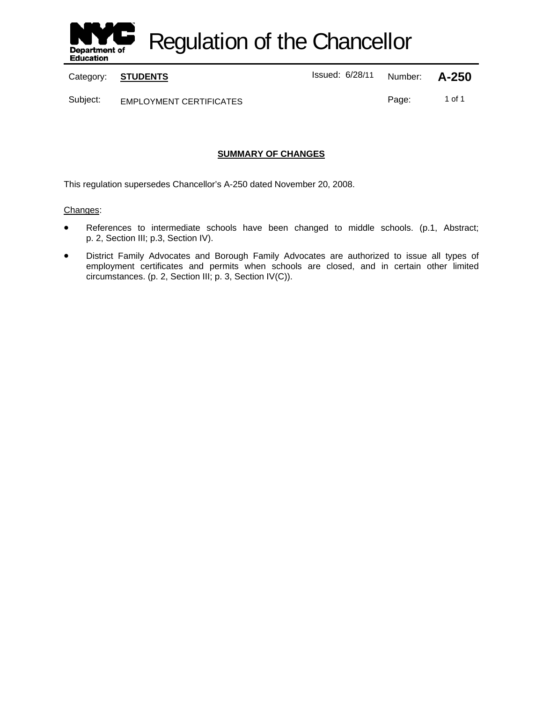

Regulation of the Chancellor

Category: **STUDENTS ISSUE 2018** Issued: 6/28/11 Number: **A-250** 

Subject: EMPLOYMENT CERTIFICATES **EXAMPLOYMENT CERTIFICATES Page:** 1 of 1

# **SUMMARY OF CHANGES**

This regulation supersedes Chancellor's A-250 dated November 20, 2008.

### Changes:

- References to intermediate schools have been changed to middle schools. (p.1, Abstract; p. 2, Section III; p.3, Section IV).
- District Family Advocates and Borough Family Advocates are authorized to issue all types of employment certificates and permits when schools are closed, and in certain other limited circumstances. (p. 2, Section III; p. 3, Section IV(C)).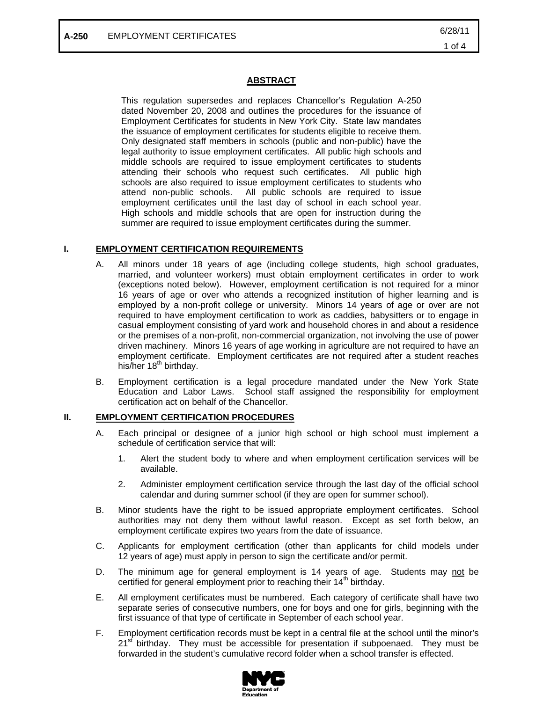### **ABSTRACT**

This regulation supersedes and replaces Chancellor's Regulation A-250 dated November 20, 2008 and outlines the procedures for the issuance of Employment Certificates for students in New York City. State law mandates the issuance of employment certificates for students eligible to receive them. Only designated staff members in schools (public and non-public) have the legal authority to issue employment certificates. All public high schools and middle schools are required to issue employment certificates to students attending their schools who request such certificates. All public high schools are also required to issue employment certificates to students who attend non-public schools. All public schools are required to issue employment certificates until the last day of school in each school year. High schools and middle schools that are open for instruction during the summer are required to issue employment certificates during the summer.

### **I. EMPLOYMENT CERTIFICATION REQUIREMENTS**

- A. All minors under 18 years of age (including college students, high school graduates, married, and volunteer workers) must obtain employment certificates in order to work (exceptions noted below). However, employment certification is not required for a minor 16 years of age or over who attends a recognized institution of higher learning and is employed by a non-profit college or university. Minors 14 years of age or over are not required to have employment certification to work as caddies, babysitters or to engage in casual employment consisting of yard work and household chores in and about a residence or the premises of a non-profit, non-commercial organization, not involving the use of power driven machinery. Minors 16 years of age working in agriculture are not required to have an employment certificate. Employment certificates are not required after a student reaches his/her  $18<sup>th</sup>$  birthday.
- B. Employment certification is a legal procedure mandated under the New York State Education and Labor Laws. School staff assigned the responsibility for employment certification act on behalf of the Chancellor.

### **II. EMPLOYMENT CERTIFICATION PROCEDURES**

- A. Each principal or designee of a junior high school or high school must implement a schedule of certification service that will:
	- 1. Alert the student body to where and when employment certification services will be available.
	- 2. Administer employment certification service through the last day of the official school calendar and during summer school (if they are open for summer school).
- B. Minor students have the right to be issued appropriate employment certificates. School authorities may not deny them without lawful reason. Except as set forth below, an employment certificate expires two years from the date of issuance.
- C. Applicants for employment certification (other than applicants for child models under 12 years of age) must apply in person to sign the certificate and/or permit.
- D. The minimum age for general employment is 14 years of age. Students may not be certified for general employment prior to reaching their  $14<sup>th</sup>$  birthday.
- E. All employment certificates must be numbered. Each category of certificate shall have two separate series of consecutive numbers, one for boys and one for girls, beginning with the first issuance of that type of certificate in September of each school year.
- F. Employment certification records must be kept in a central file at the school until the minor's  $21<sup>st</sup>$  birthday. They must be accessible for presentation if subpoenaed. They must be forwarded in the student's cumulative record folder when a school transfer is effected.

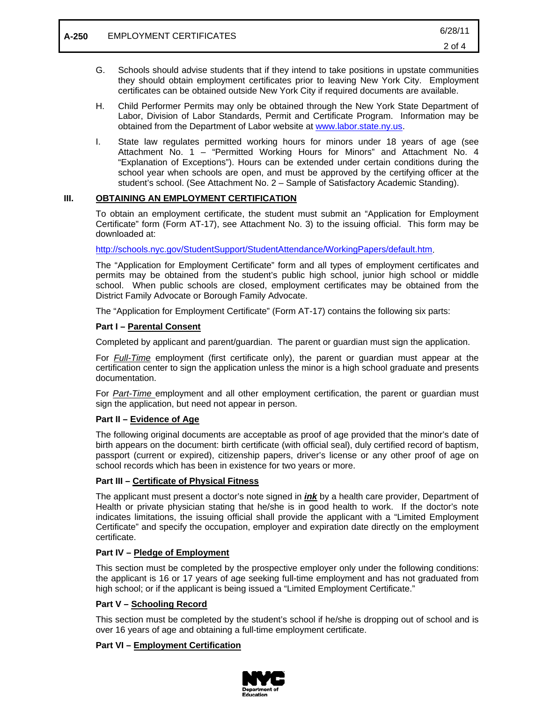- G. Schools should advise students that if they intend to take positions in upstate communities they should obtain employment certificates prior to leaving New York City. Employment certificates can be obtained outside New York City if required documents are available.
- H. Child Performer Permits may only be obtained through the New York State Department of Labor, Division of Labor Standards, Permit and Certificate Program. Information may be obtained from the Department of Labor website at www.labor.state.ny.us.
- I. State law regulates permitted working hours for minors under 18 years of age (see Attachment No. 1 – "Permitted Working Hours for Minors" and Attachment No. 4 "Explanation of Exceptions"). Hours can be extended under certain conditions during the school year when schools are open, and must be approved by the certifying officer at the student's school. (See Attachment No. 2 – Sample of Satisfactory Academic Standing).

### **III. OBTAINING AN EMPLOYMENT CERTIFICATION**

To obtain an employment certificate, the student must submit an "Application for Employment Certificate" form (Form AT-17), see Attachment No. 3) to the issuing official. This form may be downloaded at:

http://schools.nyc.gov/StudentSupport/StudentAttendance/WorkingPapers/default.htm.

The "Application for Employment Certificate" form and all types of employment certificates and permits may be obtained from the student's public high school, junior high school or middle school. When public schools are closed, employment certificates may be obtained from the District Family Advocate or Borough Family Advocate.

The "Application for Employment Certificate" (Form AT-17) contains the following six parts:

### **Part I – Parental Consent**

Completed by applicant and parent/guardian. The parent or guardian must sign the application.

For *Full-Time* employment (first certificate only), the parent or guardian must appear at the certification center to sign the application unless the minor is a high school graduate and presents documentation.

For *Part-Time* employment and all other employment certification, the parent or guardian must sign the application, but need not appear in person.

### **Part II – Evidence of Age**

The following original documents are acceptable as proof of age provided that the minor's date of birth appears on the document: birth certificate (with official seal), duly certified record of baptism, passport (current or expired), citizenship papers, driver's license or any other proof of age on school records which has been in existence for two years or more.

### **Part III – Certificate of Physical Fitness**

The applicant must present a doctor's note signed in *ink* by a health care provider, Department of Health or private physician stating that he/she is in good health to work. If the doctor's note indicates limitations, the issuing official shall provide the applicant with a "Limited Employment Certificate" and specify the occupation, employer and expiration date directly on the employment certificate.

### **Part IV – Pledge of Employment**

This section must be completed by the prospective employer only under the following conditions: the applicant is 16 or 17 years of age seeking full-time employment and has not graduated from high school; or if the applicant is being issued a "Limited Employment Certificate."

### **Part V – Schooling Record**

This section must be completed by the student's school if he/she is dropping out of school and is over 16 years of age and obtaining a full-time employment certificate.

### **Part VI – Employment Certification**

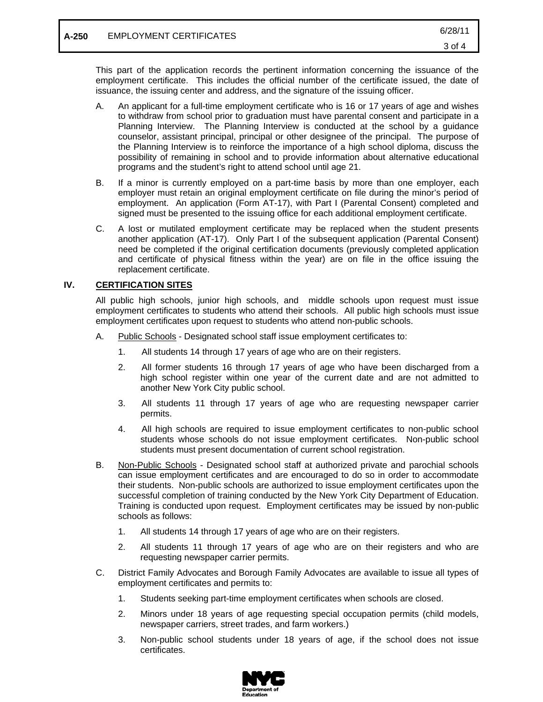# **A-250** EMPLOYMENT CERTIFICATES 6/28/11

This part of the application records the pertinent information concerning the issuance of the employment certificate. This includes the official number of the certificate issued, the date of issuance, the issuing center and address, and the signature of the issuing officer.

- A. An applicant for a full-time employment certificate who is 16 or 17 years of age and wishes to withdraw from school prior to graduation must have parental consent and participate in a Planning Interview. The Planning Interview is conducted at the school by a guidance counselor, assistant principal, principal or other designee of the principal. The purpose of the Planning Interview is to reinforce the importance of a high school diploma, discuss the possibility of remaining in school and to provide information about alternative educational programs and the student's right to attend school until age 21.
- B. If a minor is currently employed on a part-time basis by more than one employer, each employer must retain an original employment certificate on file during the minor's period of employment. An application (Form AT-17), with Part I (Parental Consent) completed and signed must be presented to the issuing office for each additional employment certificate.
- C. A lost or mutilated employment certificate may be replaced when the student presents another application (AT-17). Only Part I of the subsequent application (Parental Consent) need be completed if the original certification documents (previously completed application and certificate of physical fitness within the year) are on file in the office issuing the replacement certificate.

# **IV. CERTIFICATION SITES**

All public high schools, junior high schools, and middle schools upon request must issue employment certificates to students who attend their schools. All public high schools must issue employment certificates upon request to students who attend non-public schools.

- A. Public Schools Designated school staff issue employment certificates to:
	- 1. All students 14 through 17 years of age who are on their registers.
	- 2. All former students 16 through 17 years of age who have been discharged from a high school register within one year of the current date and are not admitted to another New York City public school.
	- 3. All students 11 through 17 years of age who are requesting newspaper carrier permits.
	- 4. All high schools are required to issue employment certificates to non-public school students whose schools do not issue employment certificates. Non-public school students must present documentation of current school registration.
- B. Non-Public Schools Designated school staff at authorized private and parochial schools can issue employment certificates and are encouraged to do so in order to accommodate their students. Non-public schools are authorized to issue employment certificates upon the successful completion of training conducted by the New York City Department of Education. Training is conducted upon request. Employment certificates may be issued by non-public schools as follows:
	- 1. All students 14 through 17 years of age who are on their registers.
	- 2. All students 11 through 17 years of age who are on their registers and who are requesting newspaper carrier permits.
- C. District Family Advocates and Borough Family Advocates are available to issue all types of employment certificates and permits to:
	- 1. Students seeking part-time employment certificates when schools are closed.
	- 2. Minors under 18 years of age requesting special occupation permits (child models, newspaper carriers, street trades, and farm workers.)
	- 3. Non-public school students under 18 years of age, if the school does not issue certificates.

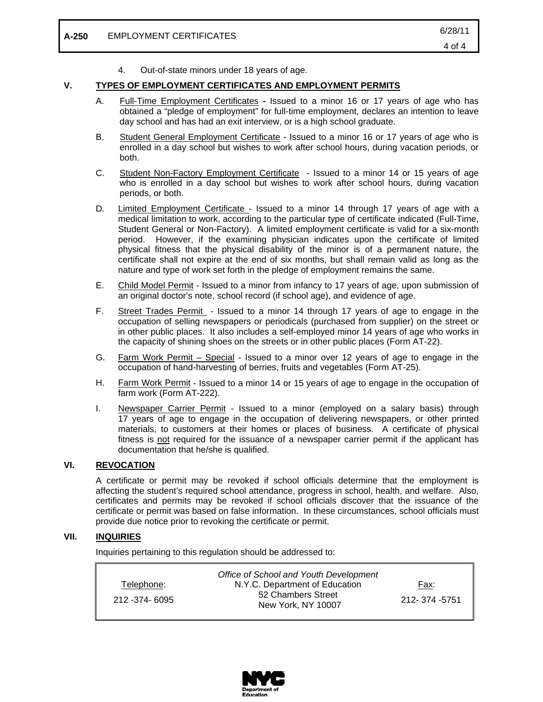4. Out-of-state minors under 18 years of age.

### **V. TYPES OF EMPLOYMENT CERTIFICATES AND EMPLOYMENT PERMITS**

- A. Full-Time Employment CertificatesIssued to a minor 16 or 17 years of age who has obtained a "pledge of employment" for full-time employment, declares an intention to leave day school and has had an exit interview, or is a high school graduate.
- B. Student General Employment Certificate Issued to a minor 16 or 17 years of age who is enrolled in a day school but wishes to work after school hours, during vacation periods, or both.
- C. Student Non-Factory Employment Certificate Issued to a minor 14 or 15 years of age who is enrolled in a day school but wishes to work after school hours, during vacation periods, or both.
- D. Limited Employment Certificate Issued to a minor 14 through 17 years of age with a medical limitation to work, according to the particular type of certificate indicated (Full-Time, Student General or Non-Factory). A limited employment certificate is valid for a six-month period. However, if the examining physician indicates upon the certificate of limited physical fitness that the physical disability of the minor is of a permanent nature, the certificate shall not expire at the end of six months, but shall remain valid as long as the nature and type of work set forth in the pledge of employment remains the same.
- E. Child Model Permit Issued to a minor from infancy to 17 years of age, upon submission of an original doctor's note, school record (if school age), and evidence of age.
- F. Street Trades Permit Issued to a minor 14 through 17 years of age to engage in the occupation of selling newspapers or periodicals (purchased from supplier) on the street or in other public places. It also includes a self-employed minor 14 years of age who works in the capacity of shining shoes on the streets or in other public places (Form AT-22).
- G. Farm Work Permit Special Issued to a minor over 12 years of age to engage in the occupation of hand-harvesting of berries, fruits and vegetables (Form AT-25).
- H. Farm Work Permit Issued to a minor 14 or 15 years of age to engage in the occupation of farm work (Form AT-222).
- I. Newspaper Carrier Permit Issued to a minor (employed on a salary basis) through 17 years of age to engage in the occupation of delivering newspapers, or other printed materials, to customers at their homes or places of business. A certificate of physical fitness is not required for the issuance of a newspaper carrier permit if the applicant has documentation that he/she is qualified.

# **VI. REVOCATION**

A certificate or permit may be revoked if school officials determine that the employment is affecting the student's required school attendance, progress in school, health, and welfare. Also, certificates and permits may be revoked if school officials discover that the issuance of the certificate or permit was based on false information. In these circumstances, school officials must provide due notice prior to revoking the certificate or permit.

### **VII. INQUIRIES**

Inquiries pertaining to this regulation should be addressed to:

|                | Office of School and Youth Development   |               |
|----------------|------------------------------------------|---------------|
| Telephone:     | N.Y.C. Department of Education           | <u>Fax:</u>   |
| 212 -374- 6095 | 52 Chambers Street<br>New York, NY 10007 | 212-374 -5751 |

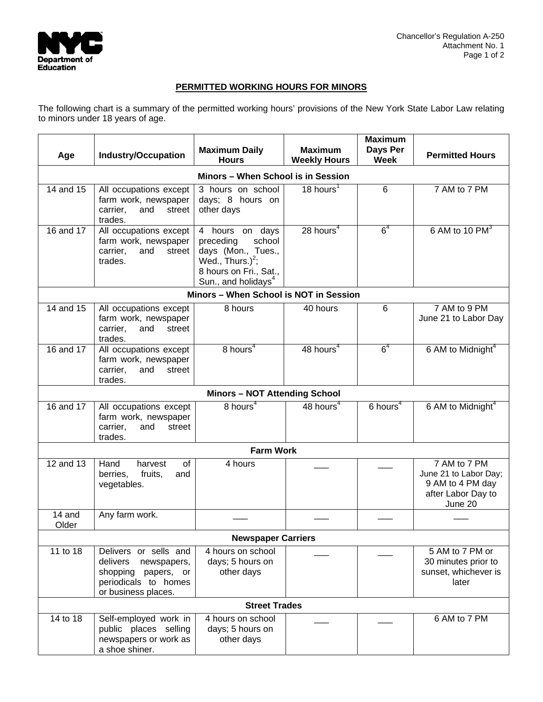

# **PERMITTED WORKING HOURS FOR MINORS**

The following chart is a summary of the permitted working hours' provisions of the New York State Labor Law relating to minors under 18 years of age.

| Age                                | <b>Industry/Occupation</b>                                                                                             | <b>Maximum Daily</b>                                                                                                                             | <b>Maximum</b>          | <b>Maximum</b><br>Days Per | <b>Permitted Hours</b>                                                                     |  |  |
|------------------------------------|------------------------------------------------------------------------------------------------------------------------|--------------------------------------------------------------------------------------------------------------------------------------------------|-------------------------|----------------------------|--------------------------------------------------------------------------------------------|--|--|
|                                    |                                                                                                                        | <b>Hours</b>                                                                                                                                     | <b>Weekly Hours</b>     | <b>Week</b>                |                                                                                            |  |  |
| Minors - When School is in Session |                                                                                                                        |                                                                                                                                                  |                         |                            |                                                                                            |  |  |
| 14 and 15                          | All occupations except<br>farm work, newspaper<br>carrier,<br>and<br>street<br>trades.                                 | 3 hours on school<br>days; 8 hours on<br>other days                                                                                              | 18 hours <sup>1</sup>   | $\overline{6}$             | 7 AM to 7 PM                                                                               |  |  |
| 16 and 17                          | All occupations except<br>farm work, newspaper<br>carrier,<br>street<br>and<br>trades.                                 | 4 hours on days<br>school<br>preceding<br>days (Mon., Tues.,<br>Wed., Thurs.) $2$ ;<br>8 hours on Fri., Sat.,<br>Sun., and holidays <sup>4</sup> | $28$ hours <sup>4</sup> | 6 <sup>4</sup>             | 6 AM to 10 $PM^3$                                                                          |  |  |
|                                    |                                                                                                                        | Minors - When School is NOT in Session                                                                                                           |                         |                            |                                                                                            |  |  |
| 14 and 15                          | All occupations except<br>farm work, newspaper<br>carrier.<br>and<br>street<br>trades.                                 | 8 hours                                                                                                                                          | 40 hours                | 6                          | 7 AM to 9 PM<br>June 21 to Labor Day                                                       |  |  |
| 16 and 17                          | All occupations except<br>farm work, newspaper<br>carrier,<br>and<br>street<br>trades.                                 | $8$ hours <sup>4</sup>                                                                                                                           | $48$ hours <sup>4</sup> | 6 <sup>4</sup>             | 6 AM to Midnight <sup>4</sup>                                                              |  |  |
|                                    |                                                                                                                        | <b>Minors - NOT Attending School</b>                                                                                                             |                         |                            |                                                                                            |  |  |
| 16 and 17                          | All occupations except<br>farm work, newspaper<br>street<br>carrier,<br>and<br>trades.                                 | 8 hours <sup>4</sup>                                                                                                                             | 48 hours <sup>4</sup>   | $6$ hours <sup>4</sup>     | 6 AM to Midnight <sup>4</sup>                                                              |  |  |
|                                    |                                                                                                                        | <b>Farm Work</b>                                                                                                                                 |                         |                            |                                                                                            |  |  |
| 12 and 13                          | Hand<br>harvest<br>of<br>berries,<br>fruits,<br>and<br>vegetables.                                                     | 4 hours                                                                                                                                          |                         |                            | 7 AM to 7 PM<br>June 21 to Labor Day;<br>9 AM to 4 PM day<br>after Labor Day to<br>June 20 |  |  |
| 14 and<br>Older                    | Any farm work.                                                                                                         |                                                                                                                                                  |                         |                            |                                                                                            |  |  |
| <b>Newspaper Carriers</b>          |                                                                                                                        |                                                                                                                                                  |                         |                            |                                                                                            |  |  |
| 11 to 18                           | Delivers or sells and<br>delivers<br>newspapers,<br>shopping papers, or<br>periodicals to homes<br>or business places. | 4 hours on school<br>days; 5 hours on<br>other days                                                                                              |                         |                            | 5 AM to 7 PM or<br>30 minutes prior to<br>sunset, whichever is<br>later                    |  |  |
| <b>Street Trades</b>               |                                                                                                                        |                                                                                                                                                  |                         |                            |                                                                                            |  |  |
| 14 to 18                           | Self-employed work in<br>public places selling<br>newspapers or work as<br>a shoe shiner.                              | 4 hours on school<br>days; 5 hours on<br>other days                                                                                              |                         |                            | 6 AM to 7 PM                                                                               |  |  |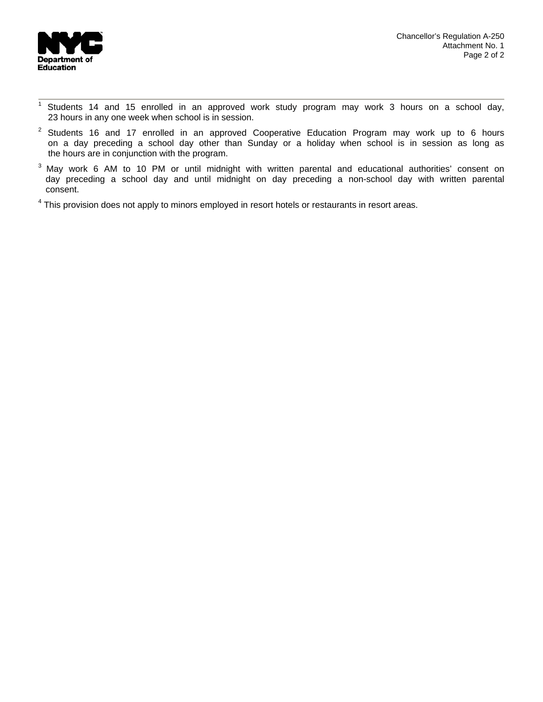

- $\overline{1}$  Students 14 and 15 enrolled in an approved work study program may work 3 hours on a school day, 23 hours in any one week when school is in session.
- $2$  Students 16 and 17 enrolled in an approved Cooperative Education Program may work up to 6 hours on a day preceding a school day other than Sunday or a holiday when school is in session as long as the hours are in conjunction with the program.
- <sup>3</sup> May work 6 AM to 10 PM or until midnight with written parental and educational authorities' consent on day preceding a school day and until midnight on day preceding a non-school day with written parental consent.
- $<sup>4</sup>$  This provision does not apply to minors employed in resort hotels or restaurants in resort areas.</sup>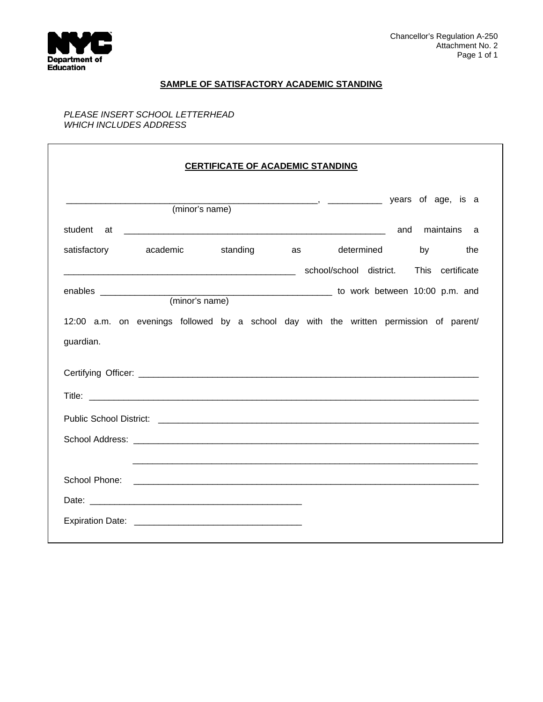

# **SAMPLE OF SATISFACTORY ACADEMIC STANDING**

### *PLEASE INSERT SCHOOL LETTERHEAD WHICH INCLUDES ADDRESS*

|           |                       | (minor's name) |                                                                                        |
|-----------|-----------------------|----------------|----------------------------------------------------------------------------------------|
|           |                       |                |                                                                                        |
|           | satisfactory academic |                | standing as determined by the                                                          |
|           |                       |                |                                                                                        |
|           |                       |                |                                                                                        |
|           |                       |                |                                                                                        |
|           | (minor's name)        |                |                                                                                        |
|           |                       |                | 12:00 a.m. on evenings followed by a school day with the written permission of parent/ |
|           |                       |                |                                                                                        |
|           |                       |                |                                                                                        |
|           |                       |                |                                                                                        |
|           |                       |                |                                                                                        |
|           |                       |                |                                                                                        |
|           |                       |                |                                                                                        |
|           |                       |                |                                                                                        |
|           |                       |                |                                                                                        |
|           |                       |                |                                                                                        |
| guardian. |                       |                |                                                                                        |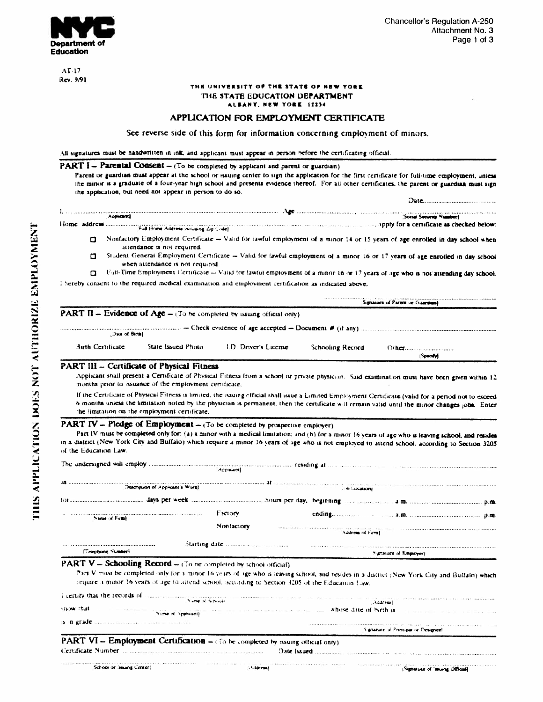

 $AT-17$ Rev. 9/91

### THE UNIVERSITY OF THE STATE OF NEW YORE THE STATE EDUCATION DEPARTMENT ALBANY, NEW YORK 12234

### APPLICATION FOR EMPLOYMENT CERTIFICATE

See reverse side of this form for information concerning employment of minors.

All signatures must be handwritten in ink, and applicant must appear in person before the certificating official.

PART  $I =$  Parental Consent  $-$  (To be completed by applicant and parent or guardian) Parent or guardian must appear at the school or issuing center to sign the application for the first certificate for full-time employment, unless the minor is a graduate of a four-year high school and presents evidence thereof. For all other certificates, the parent or guardian must sign the application, but need not appear in person to do so. 1. 22 minutes and the contract of the contract of the contract of the contract of the contract of the contract of the contract of the contract of the contract of the contract of the contract of the contract of the contract Nonfactory Employment Certificate -- Valid for lawful employment of a minor 14 or 15 years of age enrolled in day school when  $\Box$ attendance is not required. Student General Employment Certificate - Valid for lawful employment of a minor 16 or 17 years of age enrolled in day school  $\Omega$ when attendance is not required. Full-Time Employment Certificate -- Valid for lawful employment of a minor 16 or 17 years of age who is not attending day school.  $\mathbf{r}$ I hereby consent to the required medical examination and employment certification as indicated above, Signature of Parent or Guardian) **PART II - Evidence of Age -** (To be completed by issuing official only) management ++ Check evidence of age accepted -+ Document # (if any) management management management ++ Date of Birth! **Birth Certificate** State Issued Photo **I.D. Driver's License** Schooling Record Specify) PART III - Certificate of Physical Fitness Applicant shall present a Certificate of Physical Fitness from a school or private physician. Said examination must have been given within 12 months prior to issuance of the employment certificate. If the Certificate of Physical Fitness is limited, the issuing official shall issue a Limited Employment Certificate (valid for a period not to exceed 6 months unless the limitation noted by the physician is permanent, then the certificate will remain valid until the minor changes jobs. Enter the limitation on the employment certificate. **PART IV - Picdge of Employment**  $-$ +To be completed by prospective employer) Part IV must be completed only for: (a) a minor with a medical limitation; and (b) for a minor 16 years of age who is leaving school, and resides in a district (New York City and Buffalo) which require a minor 16 years of age who is not employed to attend school, according to Section 3205 of the Education Law. Description of Applicant's World | Month | Martin Communication | Martin | Martin | Martin | Martin | Martin | Martin | Martin | Martin | Martin | Martin | Martin | Martin | Martin | Martin | Martin | Martin | Martin | Mar formanimano annume days per week manimum manimum and ours per day, beginning and considerable and manimum manimum p.m. Name of Firm  $F_{\text{NLOIV}}$ Nonfactory **Modern Contract Contract Contract Contract Contract Contract Contract Contract Contract Contract Contract Contract Contract Contract Contract Contract Contract Contract Contract Contract Contract Contract Contract Contrac**  $\label{eq:2} \begin{minipage}{0.9\linewidth} \begin{tabular}{l} \hline \multicolumn{3}{c}{\textbf{0.9\linewidth}} \end{tabular} \begin{tabular}{l} \hline \multicolumn{3}{c}{\textbf{0.9\linewidth}} \end{tabular} \end{minipage} \begin{minipage}{0.9\linewidth} \begin{tabular}{l} \hline \multicolumn{3}{c}{\textbf{0.9\linewidth}} \end{tabular} \end{minipage} \begin{minipage}{0.9\linewidth} \end{minipage} \begin{minipage}{0.9\linewidth} \end{minipage} \begin{minipage}{0.9\linewidth} \end{minipage} \begin{minip$ **ITelephone Numberi** 

**PART V - Schooling Record -** (To be completed by school official).

Part V must be completed only for a minor 16 years of age who is leaving school, and resides in a district (New York City and Buffalo) which require a minor 16 years of age to attend school, according to Section 3205 of the Education Law.

| Nome of Schools    | I certify that the records of manufacturer and manufacturer and construction of the content of the state in the construction of the construction<br>Addressi |                                                                                                                                                                                                                                |  |
|--------------------|--------------------------------------------------------------------------------------------------------------------------------------------------------------|--------------------------------------------------------------------------------------------------------------------------------------------------------------------------------------------------------------------------------|--|
|                    |                                                                                                                                                              |                                                                                                                                                                                                                                |  |
| Nome of Applicant) | show that the companion of the second companion of the companion was whose date of bath is the parameter of the companion                                    |                                                                                                                                                                                                                                |  |
|                    |                                                                                                                                                              | The context about the company associated as a company of the company and the company associated as a strong of the company of the company of the company of the company of the company of the company of the company of the co |  |
|                    |                                                                                                                                                              | Signature of Principal or Designee!                                                                                                                                                                                            |  |

#### **PART VI - Employment Certification -** (fo be completed by issuing official only) Certificate Number model and compared with the company of the company

**Signaure of Employer)**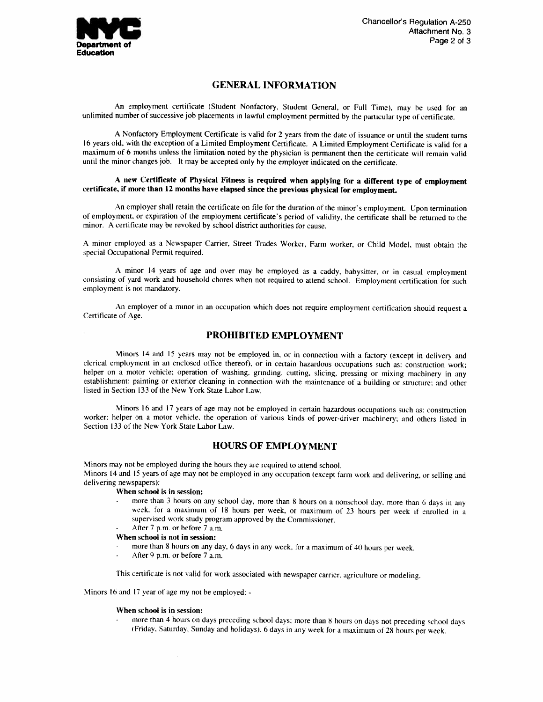

### **GENERAL INFORMATION**

An employment certificate (Student Nonfactory, Student General, or Full Time), may be used for an unlimited number of successive job placements in lawful employment permitted by the particular type of certificate.

A Nonfactory Employment Certificate is valid for 2 years from the date of issuance or until the student turns 16 years old, with the exception of a Limited Employment Certificate. A Limited Employment Certificate is valid for a maximum of 6 months unless the limitation noted by the physician is permanent then the certificate will remain valid until the minor changes job. It may be accepted only by the employer indicated on the certificate.

### A new Certificate of Physical Fitness is required when applying for a different type of employment certificate, if more than 12 months have elapsed since the previous physical for employment.

An employer shall retain the certificate on file for the duration of the minor's employment. Upon termination of employment, or expiration of the employment certificate's period of validity, the certificate shall be returned to the minor. A certificate may be revoked by school district authorities for cause.

A minor employed as a Newspaper Carrier, Street Trades Worker, Farm worker, or Child Model, must obtain the special Occupational Permit required.

A minor 14 years of age and over may be employed as a caddy, babysitter, or in casual employment consisting of yard work and household chores when not required to attend school. Employment certification for such employment is not mandatory.

An employer of a minor in an occupation which does not require employment certification should request a Certificate of Age.

### **PROHIBITED EMPLOYMENT**

Minors 14 and 15 years may not be employed in, or in connection with a factory (except in delivery and clerical employment in an enclosed office thereof), or in certain hazardous occupations such as: construction work; helper on a motor vehicle; operation of washing, grinding, cutting, slicing, pressing or mixing machinery in any establishment; painting or exterior cleaning in connection with the maintenance of a building or structure; and other listed in Section 133 of the New York State Labor Law.

Minors 16 and 17 years of age may not be employed in certain hazardous occupations such as: construction worker; helper on a motor vehicle, the operation of various kinds of power-driver machinery; and others listed in Section 133 of the New York State Labor Law.

### **HOURS OF EMPLOYMENT**

Minors may not be employed during the hours they are required to attend school.

Minors 14 and 15 years of age may not be employed in any occupation (except farm work and delivering, or selling and delivering newspapers):

### When school is in session:

more than 3 hours on any school day, more than 8 hours on a nonschool day, more than 6 days in any week. for a maximum of 18 hours per week, or maximum of 23 hours per week if enrolled in a supervised work study program approved by the Commissioner. After 7 p.m. or before 7 a.m.

# When school is not in session:

- 
- more than 8 hours on any day, 6 days in any week, for a maximum of 40 hours per week.
- After 9 p.m. or before 7 a.m.

This certificate is not valid for work associated with newspaper carrier, agriculture or modeling.

Minors 16 and 17 year of age my not be employed: -

### When school is in session:

more than 4 hours on days preceding school days; more than 8 hours on days not preceding school days (Friday, Saturday, Sunday and holidays), 6 days in any week for a maximum of 28 hours per week.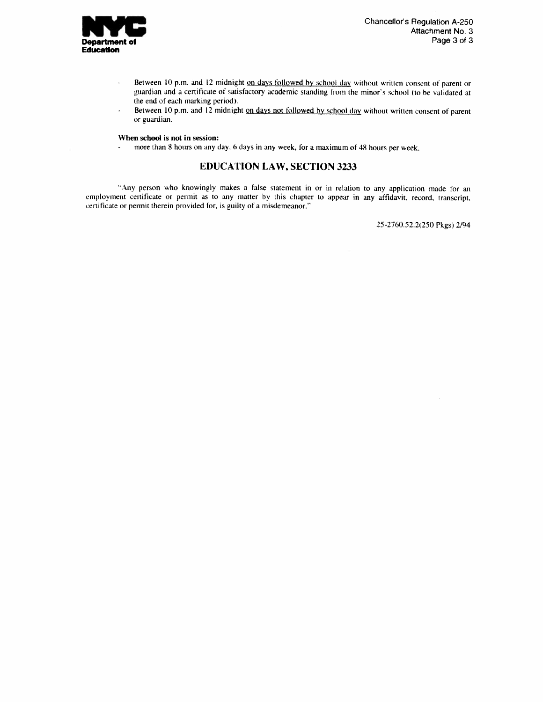

 $\ddot{\phantom{0}}$ 

- Between 10 p.m. and 12 midnight on days followed by school day without written consent of parent or  $\ddot{\phantom{a}}$ guardian and a certificate of satisfactory academic standing from the minor's school (to be validated at the end of each marking period).
	- Between 10 p.m. and 12 midnight on days not followed by school day without written consent of parent or guardian.

#### When school is not in session:

more than 8 hours on any day, 6 days in any week, for a maximum of 48 hours per week.

## **EDUCATION LAW, SECTION 3233**

"Any person who knowingly makes a false statement in or in relation to any application made for an employment certificate or permit as to any matter by this chapter to appear in any affidavit, record, transcript, certificate or permit therein provided for, is guilty of a misdemeanor."

25-2760.52.2(250 Pkgs) 2/94